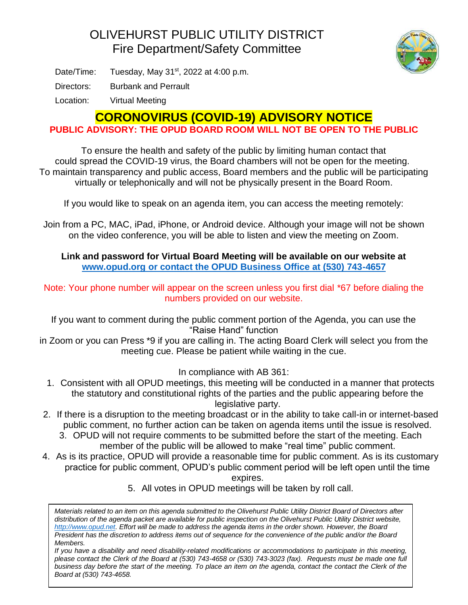## OLIVEHURST PUBLIC UTILITY DISTRICT Fire Department/Safety Committee



Date/Time: Tuesday, May  $31<sup>st</sup>$ , 2022 at 4:00 p.m.

Directors: Burbank and Perrault

Location: Virtual Meeting

## **CORONOVIRUS (COVID-19) ADVISORY NOTICE**

**PUBLIC ADVISORY: THE OPUD BOARD ROOM WILL NOT BE OPEN TO THE PUBLIC**

To ensure the health and safety of the public by limiting human contact that could spread the COVID-19 virus, the Board chambers will not be open for the meeting. To maintain transparency and public access, Board members and the public will be participating virtually or telephonically and will not be physically present in the Board Room.

If you would like to speak on an agenda item, you can access the meeting remotely:

Join from a PC, MAC, iPad, iPhone, or Android device. Although your image will not be shown on the video conference, you will be able to listen and view the meeting on Zoom.

**Link and password for Virtual Board Meeting will be available on our website at [www.opud.org](http://www.opud.org/) or contact the OPUD Business Office at (530) 743-4657**

Note: Your phone number will appear on the screen unless you first dial \*67 before dialing the numbers provided on our website.

If you want to comment during the public comment portion of the Agenda, you can use the "Raise Hand" function

in Zoom or you can Press \*9 if you are calling in. The acting Board Clerk will select you from the meeting cue. Please be patient while waiting in the cue.

In compliance with AB 361:

- 1. Consistent with all OPUD meetings, this meeting will be conducted in a manner that protects the statutory and constitutional rights of the parties and the public appearing before the legislative party.
- 2. If there is a disruption to the meeting broadcast or in the ability to take call-in or internet-based public comment, no further action can be taken on agenda items until the issue is resolved.
	- 3. OPUD will not require comments to be submitted before the start of the meeting. Each member of the public will be allowed to make "real time" public comment.
- 4. As is its practice, OPUD will provide a reasonable time for public comment. As is its customary practice for public comment, OPUD's public comment period will be left open until the time

expires.

5. All votes in OPUD meetings will be taken by roll call.

*Materials related to an item on this agenda submitted to the Olivehurst Public Utility District Board of Directors after distribution of the agenda packet are available for public inspection on the Olivehurst Public Utility District website, [http://www.opud.net.](http://www.opud.net/) Effort will be made to address the agenda items in the order shown. However, the Board President has the discretion to address items out of sequence for the convenience of the public and/or the Board Members.*

*If you have a disability and need disability-related modifications or accommodations to participate in this meeting, please contact the Clerk of the Board at (530) 743-4658 or (530) 743-3023 (fax). Requests must be made one full business day before the start of the meeting. To place an item on the agenda, contact the contact the Clerk of the Board at (530) 743-4658.*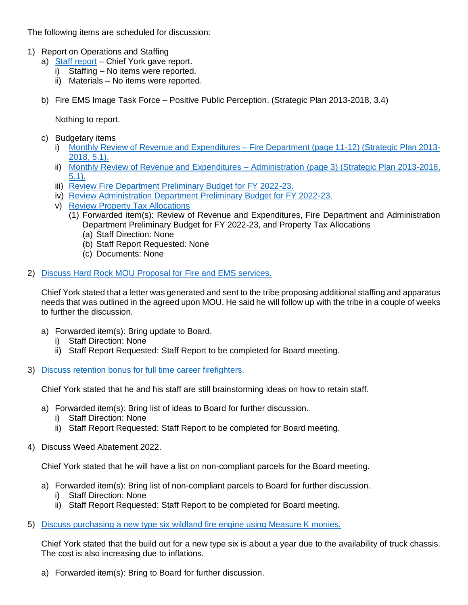The following items are scheduled for discussion:

- 1) Report on Operations and Staffing
	- a) [Staff report](https://www.opud.org/files/ba9b4b895/FD_Item_1a_Fire_Dept_Report_June_2022.pdf) Chief York gave report.
		- i) Staffing No items were reported.
		- ii) Materials No items were reported.
	- b) Fire EMS Image Task Force Positive Public Perception. (Strategic Plan 2013-2018, 3.4)

Nothing to report.

- c) Budgetary items
	- i) [Monthly Review of Revenue and Expenditures –](https://www.opud.org/files/604c3d68b/All_Agendas-Revenue_and_Expenditures_FY_2021-22.pdf) Fire Department (page 11-12) (Strategic Plan 2013- [2018, 5.1\).](https://www.opud.org/files/604c3d68b/All_Agendas-Revenue_and_Expenditures_FY_2021-22.pdf)
	- ii) [Monthly Review of Revenue and Expenditures –](https://www.opud.org/files/604c3d68b/All_Agendas-Revenue_and_Expenditures_FY_2021-22.pdf) Administration (page 3) (Strategic Plan 2013-2018, [5.1\).](https://www.opud.org/files/604c3d68b/All_Agendas-Revenue_and_Expenditures_FY_2021-22.pdf)
	- iii) [Review Fire Department Preliminary Budget for FY 2022-23.](https://www.opud.org/files/4d1e68bf1/FD_Item_1ciii-Fire_Dept_Preliminary_Budget_FY_2022-23.pdf)
	- iv) [Review Administration Department Preliminary Budget for FY 2022-23.](https://www.opud.org/files/82caba405/FD_Item_1civ-Administration_Dept_Preliminary_Budget_FY_2022-23.pdf)
	- v) [Review Property Tax Allocations](https://www.opud.org/files/2d437b9a0/FD_Item_1cv-Property_Tax_Allocations_General_Fund.pdf)
		- (1) Forwarded item(s): Review of Revenue and Expenditures, Fire Department and Administration Department Preliminary Budget for FY 2022-23, and Property Tax Allocations
			- (a) Staff Direction: None
			- (b) Staff Report Requested: None
			- (c) Documents: None

## 2) [Discuss Hard Rock MOU Proposal for Fire and EMS services.](https://www.opud.org/files/59716069f/FD_Item_2-Hard_Rock_Staff_Proposal.pdf)

Chief York stated that a letter was generated and sent to the tribe proposing additional staffing and apparatus needs that was outlined in the agreed upon MOU. He said he will follow up with the tribe in a couple of weeks to further the discussion.

- a) Forwarded item(s): Bring update to Board.
	- i) Staff Direction: None
	- ii) Staff Report Requested: Staff Report to be completed for Board meeting.
- 3) [Discuss retention bonus for full time career firefighters.](https://www.opud.org/files/cfa4496ee/FD_Item_3-Staff_Retention_Bonus.pdf)

Chief York stated that he and his staff are still brainstorming ideas on how to retain staff.

- a) Forwarded item(s): Bring list of ideas to Board for further discussion.
	- i) Staff Direction: None
	- ii) Staff Report Requested: Staff Report to be completed for Board meeting.
- 4) Discuss Weed Abatement 2022.

Chief York stated that he will have a list on non-compliant parcels for the Board meeting.

- a) Forwarded item(s): Bring list of non-compliant parcels to Board for further discussion.
	- i) Staff Direction: None
	- ii) Staff Report Requested: Staff Report to be completed for Board meeting.
- 5) [Discuss purchasing a new type six wildland fire engine using Measure K monies.](https://www.opud.org/files/faf071950/FD_Item_5-Type_Six_Engine_Purchase_Measure_K_Monies.pdf)

Chief York stated that the build out for a new type six is about a year due to the availability of truck chassis. The cost is also increasing due to inflations.

a) Forwarded item(s): Bring to Board for further discussion.